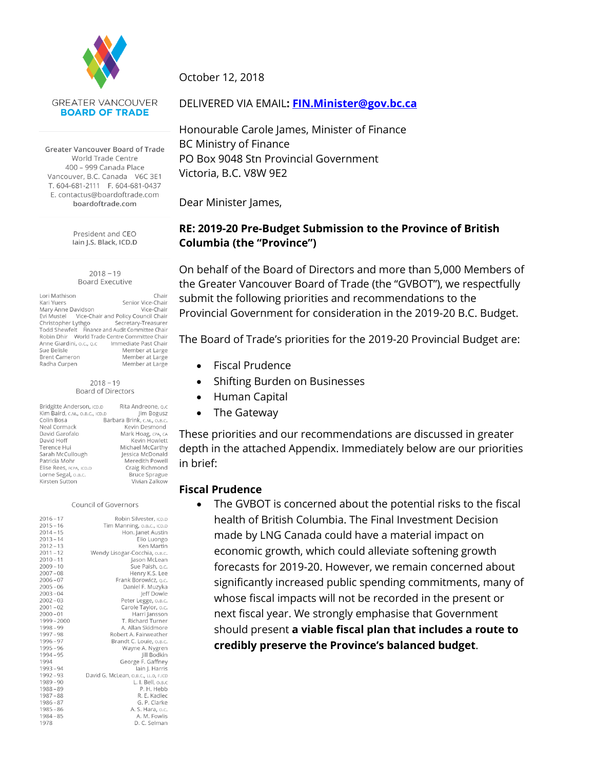

**GREATER VANCOUVER BOARD OF TRADE** 

Greater Vancouver Board of Trade World Trade Centre 400 - 999 Canada Place Vancouver, B.C. Canada V6C 3E1 T 604-681-2111 F 604-681-0437 E. contactus@boardoftrade.com boardoftrade.com

> President and CEO lain J.S. Black, ICD.D

 $2018 - 19$ **Board Executive** 

Lori Mathison Chair Kari Yuers Senior Vice-Chair Mary Anne Davidson Vice-Chair Evi Mustel Vice-Chair and Policy Council Chair Christopher Lythgo Secretary-Treasurer Todd Shewfelt Finance and Audit Committee Chair<br>Todd Shewfelt Finance and Audit Committee Chair Anne Giardini, o.c., o.c lmmediate Past Chair Sue Belisle Member at Large **Brent Cameron** Member at Large Radha Curpen Member at Large

#### $2018 - 19$ Board of Directors

| Bridgitte Anderson, ICD.D      | Rita Andreone, o.o          |
|--------------------------------|-----------------------------|
| Kim Baird, C.M., O.B.C., ICD.D | Jim Bogusz                  |
| Colin Bosa                     | Barbara Brink, C.M., O.B.C. |
| Neal Cormack                   | Kevin Desmond               |
| David Garofalo                 | Mark Hoag, CPA, CA          |
| David Hoff                     | Kevin Howlett               |
| Terence Hui                    | Michael McCarthy            |
| Sarah McCullough               | Jessica McDonald            |
| Patricia Mohr                  | Meredith Powel              |
| Elise Rees, FCPA, ICD.D        | Craig Richmond              |
| Lorne Segal, o.B.C.            | <b>Bruce Sprague</b>        |
| Kirsten Sutton                 | Vivian Zalkow               |

#### Council of Governors

| $2016 - 17$ | Robin Silvester, ICD.D               |
|-------------|--------------------------------------|
| $2015 - 16$ | Tim Manning, o.B.C., ICD.D           |
| $2014 - 15$ | Hon. Janet Austin                    |
| $2013 - 14$ | Elio Luongo                          |
| $2012 - 13$ | Ken Martin                           |
| $2011 - 12$ | Wendy Lisogar-Cocchia, o.B.c.        |
| $2010 - 11$ | Jason McLean                         |
| $2009 - 10$ | Sue Paish, o.c.                      |
| $2007 - 08$ | Henry K.S. Lee                       |
| $2006 - 07$ | Frank Borowicz, o.c.                 |
| $2005 - 06$ | Daniel F. Muzyka                     |
| $2003 - 04$ | Jeff Dowle                           |
| $2002 - 03$ | Peter Legge, O.B.C.                  |
| $2001 - 02$ | Carole Taylor, o.c.                  |
| $2000 - 01$ | Harri Jansson                        |
| 1999-2000   | T. Richard Turner                    |
| $1998 - 99$ | A. Allan Skidmore                    |
| $1997 - 98$ | Robert A. Fairweather                |
| $1996 - 97$ | Brandt C. Louie, o.B.c.              |
| $1995 - 96$ | Wayne A. Nygren                      |
| $1994 - 95$ | Jill Bodkin                          |
| 1994        | George F. Gaffney                    |
| $1993 - 94$ | lain J. Harris                       |
| $1992 - 93$ | David G. McLean, o.B.C., LL.D, F.ICD |
| $1989 - 90$ | L. I. Bell, O.B.C                    |
| $1988 - 89$ | P. H. Hebb                           |
| $1987 - 88$ | R. E. Kadlec                         |
| $1986 - 87$ | G. P. Clarke                         |
| $1985 - 86$ | A. S. Hara, o.c.                     |
| $1984 - 85$ | A. M. Fowlis                         |
| 1978        | D. C. Selman                         |

October 12, 2018

#### DELIVERED VIA EMAIL**: [FIN.Minister@gov.bc.ca](mailto:FIN.Minister@gov.bc.ca)**

Honourable Carole James, Minister of Finance BC Ministry of Finance PO Box 9048 Stn Provincial Government Victoria, B.C. V8W 9E2

Dear Minister James,

### **RE: 2019-20 Pre-Budget Submission to the Province of British Columbia (the "Province")**

On behalf of the Board of Directors and more than 5,000 Members of the Greater Vancouver Board of Trade (the "GVBOT"), we respectfully submit the following priorities and recommendations to the Provincial Government for consideration in the 2019-20 B.C. Budget.

The Board of Trade's priorities for the 2019-20 Provincial Budget are:

- Fiscal Prudence
- Shifting Burden on Businesses
- Human Capital
- The Gateway

These priorities and our recommendations are discussed in greater depth in the attached Appendix. Immediately below are our priorities in brief:

#### **Fiscal Prudence**

 The GVBOT is concerned about the potential risks to the fiscal health of British Columbia. The Final Investment Decision made by LNG Canada could have a material impact on economic growth, which could alleviate softening growth forecasts for 2019-20. However, we remain concerned about significantly increased public spending commitments, many of whose fiscal impacts will not be recorded in the present or next fiscal year. We strongly emphasise that Government should present **a viable fiscal plan that includes a route to credibly preserve the Province's balanced budget**.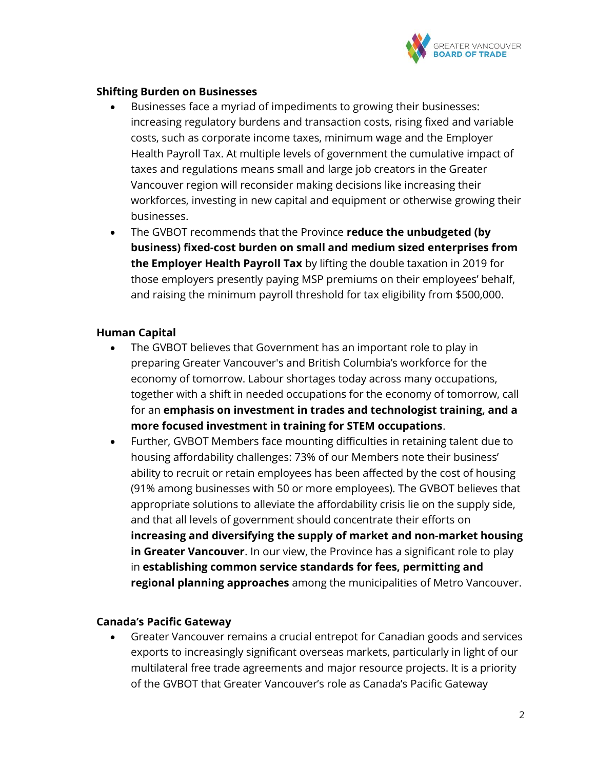

### **Shifting Burden on Businesses**

- Businesses face a myriad of impediments to growing their businesses: increasing regulatory burdens and transaction costs, rising fixed and variable costs, such as corporate income taxes, minimum wage and the Employer Health Payroll Tax. At multiple levels of government the cumulative impact of taxes and regulations means small and large job creators in the Greater Vancouver region will reconsider making decisions like increasing their workforces, investing in new capital and equipment or otherwise growing their businesses.
- The GVBOT recommends that the Province **reduce the unbudgeted (by business) fixed-cost burden on small and medium sized enterprises from the Employer Health Payroll Tax** by lifting the double taxation in 2019 for those employers presently paying MSP premiums on their employees' behalf, and raising the minimum payroll threshold for tax eligibility from \$500,000.

### **Human Capital**

- The GVBOT believes that Government has an important role to play in preparing Greater Vancouver's and British Columbia's workforce for the economy of tomorrow. Labour shortages today across many occupations, together with a shift in needed occupations for the economy of tomorrow, call for an **emphasis on investment in trades and technologist training, and a more focused investment in training for STEM occupations**.
- Further, GVBOT Members face mounting difficulties in retaining talent due to housing affordability challenges: 73% of our Members note their business' ability to recruit or retain employees has been affected by the cost of housing (91% among businesses with 50 or more employees). The GVBOT believes that appropriate solutions to alleviate the affordability crisis lie on the supply side, and that all levels of government should concentrate their efforts on **increasing and diversifying the supply of market and non-market housing in Greater Vancouver**. In our view, the Province has a significant role to play in **establishing common service standards for fees, permitting and regional planning approaches** among the municipalities of Metro Vancouver.

### **Canada's Pacific Gateway**

 Greater Vancouver remains a crucial entrepot for Canadian goods and services exports to increasingly significant overseas markets, particularly in light of our multilateral free trade agreements and major resource projects. It is a priority of the GVBOT that Greater Vancouver's role as Canada's Pacific Gateway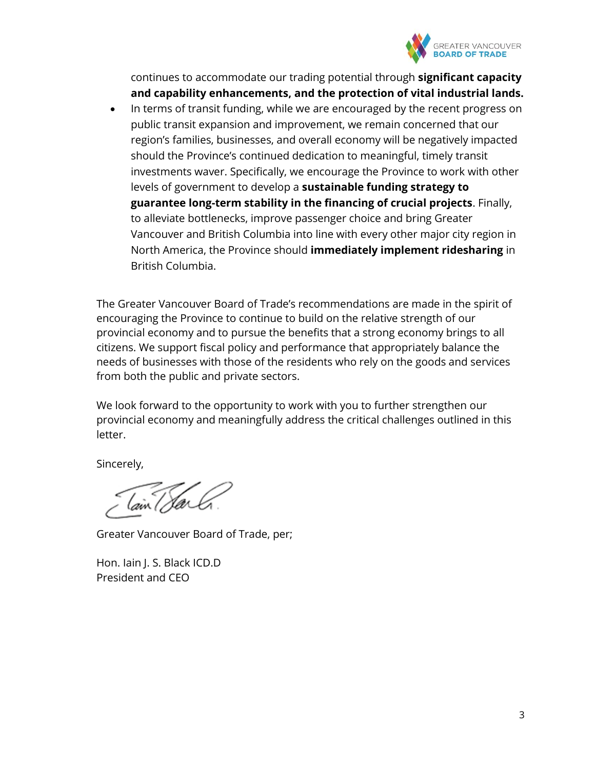

continues to accommodate our trading potential through **significant capacity and capability enhancements, and the protection of vital industrial lands.**

• In terms of transit funding, while we are encouraged by the recent progress on public transit expansion and improvement, we remain concerned that our region's families, businesses, and overall economy will be negatively impacted should the Province's continued dedication to meaningful, timely transit investments waver. Specifically, we encourage the Province to work with other levels of government to develop a **sustainable funding strategy to guarantee long-term stability in the financing of crucial projects**. Finally, to alleviate bottlenecks, improve passenger choice and bring Greater Vancouver and British Columbia into line with every other major city region in North America, the Province should **immediately implement ridesharing** in British Columbia.

The Greater Vancouver Board of Trade's recommendations are made in the spirit of encouraging the Province to continue to build on the relative strength of our provincial economy and to pursue the benefits that a strong economy brings to all citizens. We support fiscal policy and performance that appropriately balance the needs of businesses with those of the residents who rely on the goods and services from both the public and private sectors.

We look forward to the opportunity to work with you to further strengthen our provincial economy and meaningfully address the critical challenges outlined in this letter.

Sincerely,

Greater Vancouver Board of Trade, per;

Hon. Iain J. S. Black ICD.D President and CEO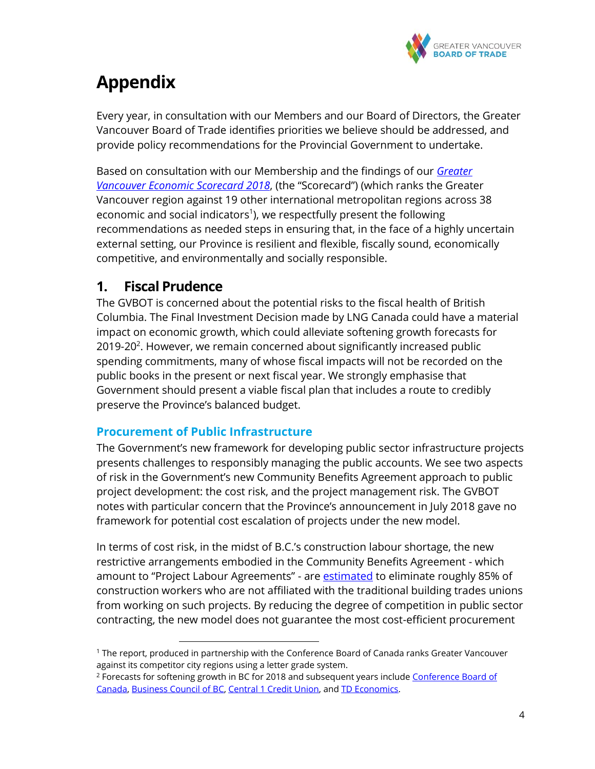

# **Appendix**

Every year, in consultation with our Members and our Board of Directors, the Greater Vancouver Board of Trade identifies priorities we believe should be addressed, and provide policy recommendations for the Provincial Government to undertake.

Based on consultation with our Membership and the findings of our *[Greater](https://www.boardoftrade.com/scorecard2018/assets/pdf/full-report.pdf)  [Vancouver Economic Scorecard 2018](https://www.boardoftrade.com/scorecard2018/assets/pdf/full-report.pdf)*, (the "Scorecard") (which ranks the Greater Vancouver region against 19 other international metropolitan regions across 38 economic and social indicators<sup>1</sup>), we respectfully present the following recommendations as needed steps in ensuring that, in the face of a highly uncertain external setting, our Province is resilient and flexible, fiscally sound, economically competitive, and environmentally and socially responsible.

# **1. Fiscal Prudence**

The GVBOT is concerned about the potential risks to the fiscal health of British Columbia. The Final Investment Decision made by LNG Canada could have a material impact on economic growth, which could alleviate softening growth forecasts for 2019-20<sup>2</sup>. However, we remain concerned about significantly increased public spending commitments, many of whose fiscal impacts will not be recorded on the public books in the present or next fiscal year. We strongly emphasise that Government should present a viable fiscal plan that includes a route to credibly preserve the Province's balanced budget.

### **Procurement of Public Infrastructure**

 $\overline{a}$ 

The Government's new framework for developing public sector infrastructure projects presents challenges to responsibly managing the public accounts. We see two aspects of risk in the Government's new Community Benefits Agreement approach to public project development: the cost risk, and the project management risk. The GVBOT notes with particular concern that the Province's announcement in July 2018 gave no framework for potential cost escalation of projects under the new model.

In terms of cost risk, in the midst of B.C.'s construction labour shortage, the new restrictive arrangements embodied in the Community Benefits Agreement - which amount to "Project Labour Agreements" - are **estimated** to eliminate roughly 85% of construction workers who are not affiliated with the traditional building trades unions from working on such projects. By reducing the degree of competition in public sector contracting, the new model does not guarantee the most cost-efficient procurement

<sup>1</sup> The report, produced in partnership with the Conference Board of Canada ranks Greater Vancouver against its competitor city regions using a letter grade system.

<sup>&</sup>lt;sup>2</sup> Forecasts for softening growth in BC for 2018 and subsequent years include Conference Board of [Canada,](https://www.conferenceboard.ca/e-library/abstract.aspx?did=9846) [Business Council of BC,](http://www.bcbc.com/content/3917/BCERO_2018_02.pdf) [Central 1 Credit Union,](https://www.central1.com/wp-content/uploads/2018/08/ea-2018_03-BC.pdf) and [TD Economics.](https://economics.td.com/provincial-economic-forecast)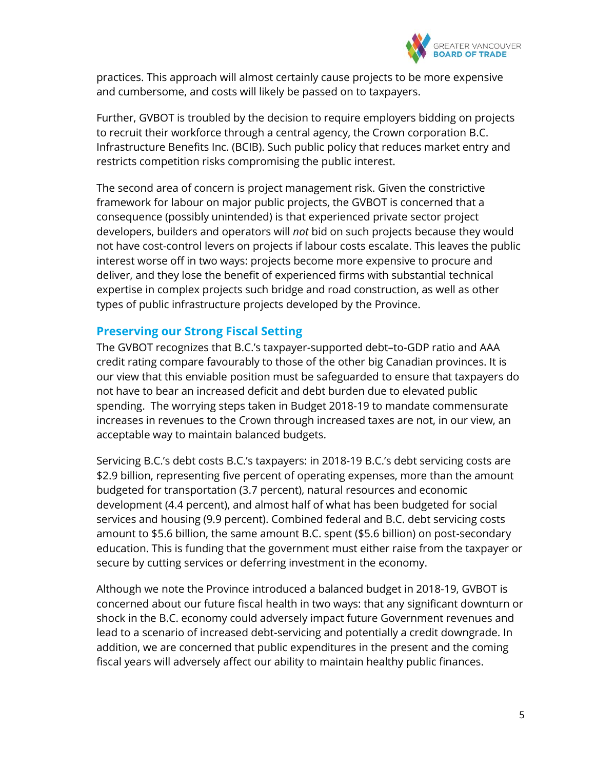

practices. This approach will almost certainly cause projects to be more expensive and cumbersome, and costs will likely be passed on to taxpayers.

Further, GVBOT is troubled by the decision to require employers bidding on projects to recruit their workforce through a central agency, the Crown corporation B.C. Infrastructure Benefits Inc. (BCIB). Such public policy that reduces market entry and restricts competition risks compromising the public interest.

The second area of concern is project management risk. Given the constrictive framework for labour on major public projects, the GVBOT is concerned that a consequence (possibly unintended) is that experienced private sector project developers, builders and operators will *not* bid on such projects because they would not have cost-control levers on projects if labour costs escalate. This leaves the public interest worse off in two ways: projects become more expensive to procure and deliver, and they lose the benefit of experienced firms with substantial technical expertise in complex projects such bridge and road construction, as well as other types of public infrastructure projects developed by the Province.

### **Preserving our Strong Fiscal Setting**

The GVBOT recognizes that B.C.'s taxpayer-supported debt–to-GDP ratio and AAA credit rating compare favourably to those of the other big Canadian provinces. It is our view that this enviable position must be safeguarded to ensure that taxpayers do not have to bear an increased deficit and debt burden due to elevated public spending. The worrying steps taken in Budget 2018-19 to mandate commensurate increases in revenues to the Crown through increased taxes are not, in our view, an acceptable way to maintain balanced budgets.

Servicing B.C.'s debt costs B.C.'s taxpayers: in 2018-19 B.C.'s debt servicing costs are \$2.9 billion, representing five percent of operating expenses, more than the amount budgeted for transportation (3.7 percent), natural resources and economic development (4.4 percent), and almost half of what has been budgeted for social services and housing (9.9 percent). Combined federal and B.C. debt servicing costs amount to \$5.6 billion, the same amount B.C. spent (\$5.6 billion) on post-secondary education. This is funding that the government must either raise from the taxpayer or secure by cutting services or deferring investment in the economy.

Although we note the Province introduced a balanced budget in 2018-19, GVBOT is concerned about our future fiscal health in two ways: that any significant downturn or shock in the B.C. economy could adversely impact future Government revenues and lead to a scenario of increased debt-servicing and potentially a credit downgrade. In addition, we are concerned that public expenditures in the present and the coming fiscal years will adversely affect our ability to maintain healthy public finances.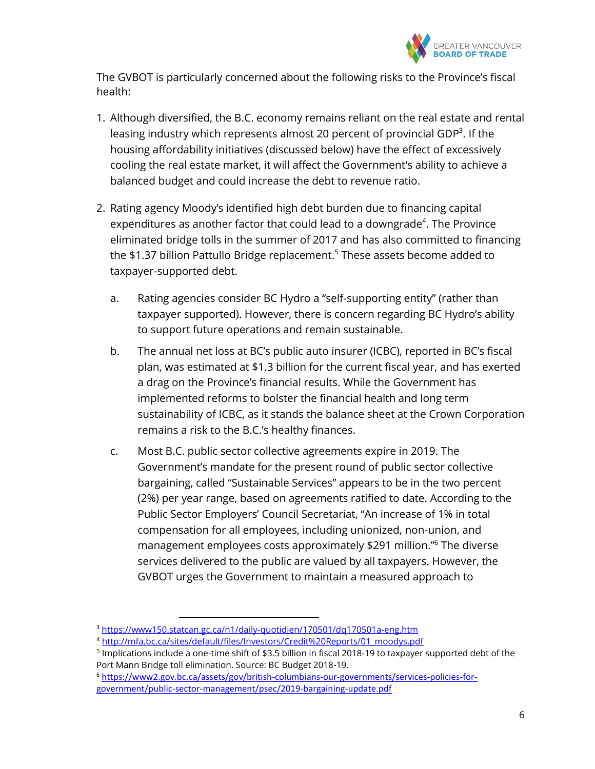

The GVBOT is particularly concerned about the following risks to the Province's fiscal health:

- 1. Although diversified, the B.C. economy remains reliant on the real estate and rental leasing industry which represents almost 20 percent of provincial GDP<sup>3</sup>. If the housing affordability initiatives (discussed below) have the effect of excessively cooling the real estate market, it will affect the Government's ability to achieve a balanced budget and could increase the debt to revenue ratio.
- 2. Rating agency Moody's identified high debt burden due to financing capital expenditures as another factor that could lead to a downgrade $4$ . The Province eliminated bridge tolls in the summer of 2017 and has also committed to financing the \$1.37 billion Pattullo Bridge replacement.<sup>5</sup> These assets become added to taxpayer-supported debt.
	- a. Rating agencies consider BC Hydro a "self-supporting entity" (rather than taxpayer supported). However, there is concern regarding BC Hydro's ability to support future operations and remain sustainable.
	- b. The annual net loss at BC's public auto insurer (ICBC), reported in BC's fiscal plan, was estimated at \$1.3 billion for the current fiscal year, and has exerted a drag on the Province's financial results. While the Government has implemented reforms to bolster the financial health and long term sustainability of ICBC, as it stands the balance sheet at the Crown Corporation remains a risk to the B.C.'s healthy finances.
	- c. Most B.C. public sector collective agreements expire in 2019. The Government's mandate for the present round of public sector collective bargaining, called "Sustainable Services" appears to be in the two percent (2%) per year range, based on agreements ratified to date. According to the Public Sector Employers' Council Secretariat, "An increase of 1% in total compensation for all employees, including unionized, non-union, and management employees costs approximately \$291 million."<sup>6</sup> The diverse services delivered to the public are valued by all taxpayers. However, the GVBOT urges the Government to maintain a measured approach to

<sup>3</sup> <https://www150.statcan.gc.ca/n1/daily-quotidien/170501/dq170501a-eng.htm>

<sup>4</sup> [http://mfa.bc.ca/sites/default/files/Investors/Credit%20Reports/01\\_moodys.pdf](http://mfa.bc.ca/sites/default/files/Investors/Credit%20Reports/01_moodys.pdf)

<sup>5</sup> Implications include a one-time shift of \$3.5 billion in fiscal 2018-19 to taxpayer supported debt of the Port Mann Bridge toll elimination. Source: BC Budget 2018-19.

<sup>6</sup> [https://www2.gov.bc.ca/assets/gov/british-columbians-our-governments/services-policies-for](https://www2.gov.bc.ca/assets/gov/british-columbians-our-governments/services-policies-for-government/public-sector-management/psec/2019-bargaining-update.pdf)[government/public-sector-management/psec/2019-bargaining-update.pdf](https://www2.gov.bc.ca/assets/gov/british-columbians-our-governments/services-policies-for-government/public-sector-management/psec/2019-bargaining-update.pdf)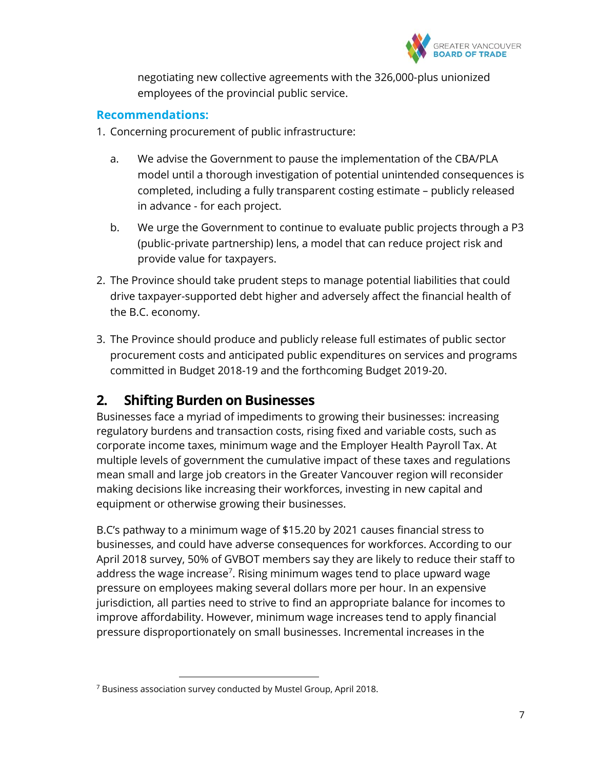

negotiating new collective agreements with the 326,000-plus unionized employees of the provincial public service.

### **Recommendations:**

- 1. Concerning procurement of public infrastructure:
	- a. We advise the Government to pause the implementation of the CBA/PLA model until a thorough investigation of potential unintended consequences is completed, including a fully transparent costing estimate – publicly released in advance - for each project.
	- b. We urge the Government to continue to evaluate public projects through a P3 (public-private partnership) lens, a model that can reduce project risk and provide value for taxpayers.
- 2. The Province should take prudent steps to manage potential liabilities that could drive taxpayer-supported debt higher and adversely affect the financial health of the B.C. economy.
- 3. The Province should produce and publicly release full estimates of public sector procurement costs and anticipated public expenditures on services and programs committed in Budget 2018-19 and the forthcoming Budget 2019-20.

# **2. Shifting Burden on Businesses**

Businesses face a myriad of impediments to growing their businesses: increasing regulatory burdens and transaction costs, rising fixed and variable costs, such as corporate income taxes, minimum wage and the Employer Health Payroll Tax. At multiple levels of government the cumulative impact of these taxes and regulations mean small and large job creators in the Greater Vancouver region will reconsider making decisions like increasing their workforces, investing in new capital and equipment or otherwise growing their businesses.

B.C's pathway to a minimum wage of \$15.20 by 2021 causes financial stress to businesses, and could have adverse consequences for workforces. According to our April 2018 survey, 50% of GVBOT members say they are likely to reduce their staff to address the wage increase<sup>7</sup>. Rising minimum wages tend to place upward wage pressure on employees making several dollars more per hour. In an expensive jurisdiction, all parties need to strive to find an appropriate balance for incomes to improve affordability. However, minimum wage increases tend to apply financial pressure disproportionately on small businesses. Incremental increases in the

<sup>7</sup> Business association survey conducted by Mustel Group, April 2018.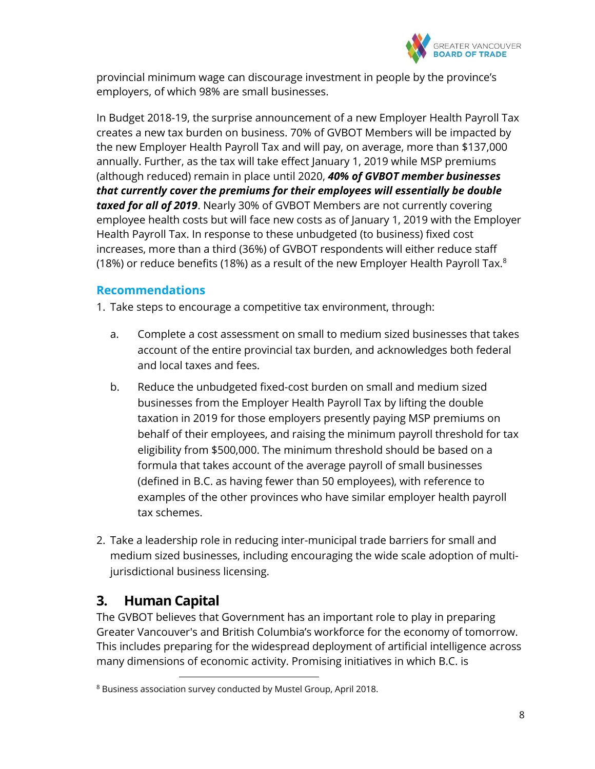

provincial minimum wage can discourage investment in people by the province's employers, of which 98% are small businesses.

In Budget 2018-19, the surprise announcement of a new Employer Health Payroll Tax creates a new tax burden on business. 70% of GVBOT Members will be impacted by the new Employer Health Payroll Tax and will pay, on average, more than \$137,000 annually. Further, as the tax will take effect January 1, 2019 while MSP premiums (although reduced) remain in place until 2020, *40% of GVBOT member businesses that currently cover the premiums for their employees will essentially be double taxed for all of 2019*. Nearly 30% of GVBOT Members are not currently covering employee health costs but will face new costs as of January 1, 2019 with the Employer Health Payroll Tax. In response to these unbudgeted (to business) fixed cost increases, more than a third (36%) of GVBOT respondents will either reduce staff (18%) or reduce benefits (18%) as a result of the new Employer Health Payroll Tax. $8<sup>8</sup>$ 

### **Recommendations**

1. Take steps to encourage a competitive tax environment, through:

- a. Complete a cost assessment on small to medium sized businesses that takes account of the entire provincial tax burden, and acknowledges both federal and local taxes and fees.
- b. Reduce the unbudgeted fixed-cost burden on small and medium sized businesses from the Employer Health Payroll Tax by lifting the double taxation in 2019 for those employers presently paying MSP premiums on behalf of their employees, and raising the minimum payroll threshold for tax eligibility from \$500,000. The minimum threshold should be based on a formula that takes account of the average payroll of small businesses (defined in B.C. as having fewer than 50 employees), with reference to examples of the other provinces who have similar employer health payroll tax schemes.
- 2. Take a leadership role in reducing inter-municipal trade barriers for small and medium sized businesses, including encouraging the wide scale adoption of multijurisdictional business licensing.

### **3. Human Capital**

 $\overline{a}$ 

The GVBOT believes that Government has an important role to play in preparing Greater Vancouver's and British Columbia's workforce for the economy of tomorrow. This includes preparing for the widespread deployment of artificial intelligence across many dimensions of economic activity. Promising initiatives in which B.C. is

<sup>8</sup> Business association survey conducted by Mustel Group, April 2018.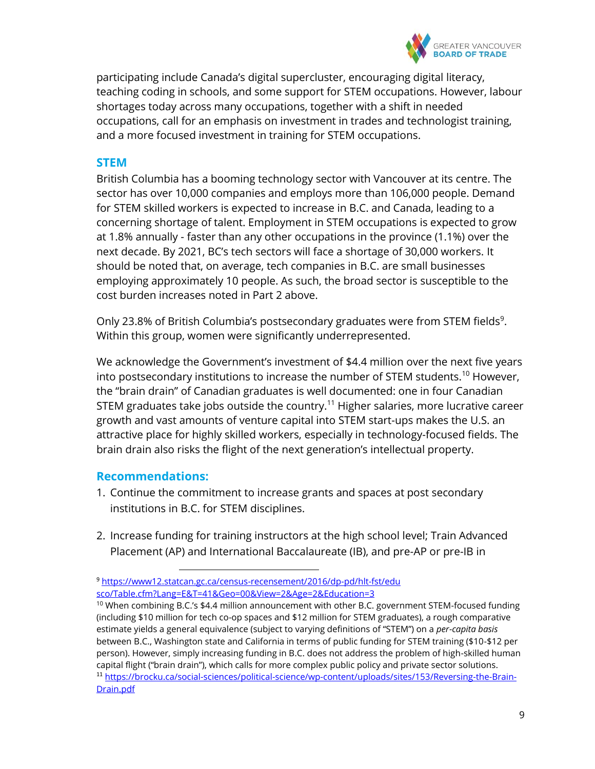

participating include Canada's digital supercluster, encouraging digital literacy, teaching coding in schools, and some support for STEM occupations. However, labour shortages today across many occupations, together with a shift in needed occupations, call for an emphasis on investment in trades and technologist training, and a more focused investment in training for STEM occupations.

### **STEM**

British Columbia has a booming technology sector with Vancouver at its centre. The sector has over 10,000 companies and employs more than 106,000 people. Demand for STEM skilled workers is expected to increase in B.C. and Canada, leading to a concerning shortage of talent. Employment in STEM occupations is expected to grow at 1.8% annually - faster than any other occupations in the province (1.1%) over the next decade. By 2021, BC's tech sectors will face a shortage of 30,000 workers. It should be noted that, on average, tech companies in B.C. are small businesses employing approximately 10 people. As such, the broad sector is susceptible to the cost burden increases noted in Part 2 above.

Only 23.8% of British Columbia's postsecondary graduates were from STEM fields<sup>9</sup>. Within this group, women were significantly underrepresented.

We acknowledge the Government's investment of \$4.4 million over the next five years into postsecondary institutions to increase the number of STEM students.<sup>10</sup> However, the "brain drain" of Canadian graduates is well documented: one in four Canadian STEM graduates take jobs outside the country.<sup>11</sup> Higher salaries, more lucrative career growth and vast amounts of venture capital into STEM start-ups makes the U.S. an attractive place for highly skilled workers, especially in technology-focused fields. The brain drain also risks the flight of the next generation's intellectual property.

### **Recommendations:**

- 1. Continue the commitment to increase grants and spaces at post secondary institutions in B.C. for STEM disciplines.
- 2. Increase funding for training instructors at the high school level; Train Advanced Placement (AP) and International Baccalaureate (IB), and pre-AP or pre-IB in

<sup>9</sup> [https://www12.statcan.gc.ca/census-recensement/2016/dp-pd/hlt-fst/edu](https://www12.statcan.gc.ca/census-recensement/2016/dp-pd/hlt-fst/edu%20sco/Table.cfm?Lang=E&T=41&Geo=00&View=2&Age=2&Education=3)  [sco/Table.cfm?Lang=E&T=41&Geo=00&View=2&Age=2&Education=3](https://www12.statcan.gc.ca/census-recensement/2016/dp-pd/hlt-fst/edu%20sco/Table.cfm?Lang=E&T=41&Geo=00&View=2&Age=2&Education=3)

 $10$  When combining B.C.'s \$4.4 million announcement with other B.C. government STEM-focused funding (including \$10 million for tech co-op spaces and \$12 million for STEM graduates), a rough comparative estimate yields a general equivalence (subject to varying definitions of "STEM") on a *per-capita basis* between B.C., Washington state and California in terms of public funding for STEM training (\$10-\$12 per person). However, simply increasing funding in B.C. does not address the problem of high-skilled human capital flight ("brain drain"), which calls for more complex public policy and private sector solutions. <sup>11</sup> [https://brocku.ca/social-sciences/political-science/wp-content/uploads/sites/153/Reversing-the-Brain-](https://brocku.ca/social-sciences/political-science/wp-content/uploads/sites/153/Reversing-the-Brain-Drain.pdf)[Drain.pdf](https://brocku.ca/social-sciences/political-science/wp-content/uploads/sites/153/Reversing-the-Brain-Drain.pdf)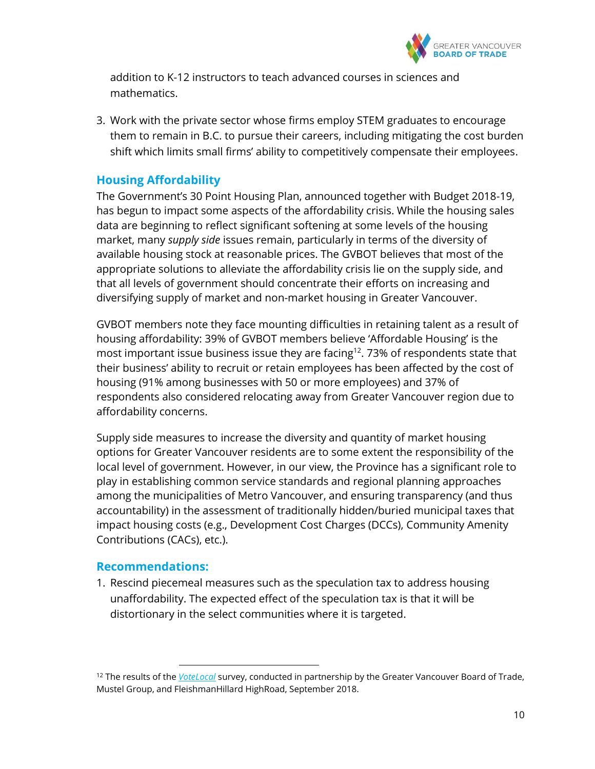

addition to K-12 instructors to teach advanced courses in sciences and mathematics.

3. Work with the private sector whose firms employ STEM graduates to encourage them to remain in B.C. to pursue their careers, including mitigating the cost burden shift which limits small firms' ability to competitively compensate their employees.

### **Housing Affordability**

The Government's 30 Point Housing Plan, announced together with Budget 2018-19, has begun to impact some aspects of the affordability crisis. While the housing sales data are beginning to reflect significant softening at some levels of the housing market, many *supply side* issues remain, particularly in terms of the diversity of available housing stock at reasonable prices. The GVBOT believes that most of the appropriate solutions to alleviate the affordability crisis lie on the supply side, and that all levels of government should concentrate their efforts on increasing and diversifying supply of market and non-market housing in Greater Vancouver.

GVBOT members note they face mounting difficulties in retaining talent as a result of housing affordability: 39% of GVBOT members believe 'Affordable Housing' is the most important issue business issue they are facing<sup>12</sup>. 73% of respondents state that their business' ability to recruit or retain employees has been affected by the cost of housing (91% among businesses with 50 or more employees) and 37% of respondents also considered relocating away from Greater Vancouver region due to affordability concerns.

Supply side measures to increase the diversity and quantity of market housing options for Greater Vancouver residents are to some extent the responsibility of the local level of government. However, in our view, the Province has a significant role to play in establishing common service standards and regional planning approaches among the municipalities of Metro Vancouver, and ensuring transparency (and thus accountability) in the assessment of traditionally hidden/buried municipal taxes that impact housing costs (e.g., Development Cost Charges (DCCs), Community Amenity Contributions (CACs), etc.).

### **Recommendations:**

 $\overline{a}$ 

1. Rescind piecemeal measures such as the speculation tax to address housing unaffordability. The expected effect of the speculation tax is that it will be distortionary in the select communities where it is targeted.

<sup>12</sup> The results of the *[VoteLocal](https://www.votelocalbc.ca/)* survey, conducted in partnership by the Greater Vancouver Board of Trade, Mustel Group, and FleishmanHillard HighRoad, September 2018.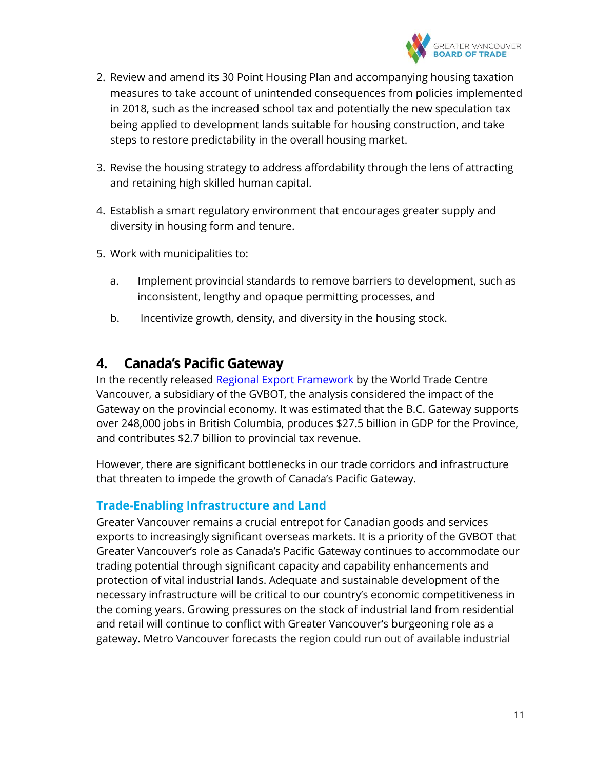

- 2. Review and amend its 30 Point Housing Plan and accompanying housing taxation measures to take account of unintended consequences from policies implemented in 2018, such as the increased school tax and potentially the new speculation tax being applied to development lands suitable for housing construction, and take steps to restore predictability in the overall housing market.
- 3. Revise the housing strategy to address affordability through the lens of attracting and retaining high skilled human capital.
- 4. Establish a smart regulatory environment that encourages greater supply and diversity in housing form and tenure.
- 5. Work with municipalities to:
	- a. Implement provincial standards to remove barriers to development, such as inconsistent, lengthy and opaque permitting processes, and
	- b. Incentivize growth, density, and diversity in the housing stock.

### **4. Canada's Pacific Gateway**

In the recently released [Regional Export Framework](http://www.wtcref.ca/) by the World Trade Centre Vancouver, a subsidiary of the GVBOT, the analysis considered the impact of the Gateway on the provincial economy. It was estimated that the B.C. Gateway supports over 248,000 jobs in British Columbia, produces \$27.5 billion in GDP for the Province, and contributes \$2.7 billion to provincial tax revenue.

However, there are significant bottlenecks in our trade corridors and infrastructure that threaten to impede the growth of Canada's Pacific Gateway.

### **Trade-Enabling Infrastructure and Land**

Greater Vancouver remains a crucial entrepot for Canadian goods and services exports to increasingly significant overseas markets. It is a priority of the GVBOT that Greater Vancouver's role as Canada's Pacific Gateway continues to accommodate our trading potential through significant capacity and capability enhancements and protection of vital industrial lands. Adequate and sustainable development of the necessary infrastructure will be critical to our country's economic competitiveness in the coming years. Growing pressures on the stock of industrial land from residential and retail will continue to conflict with Greater Vancouver's burgeoning role as a gateway. Metro Vancouver forecasts the region could run out of available industrial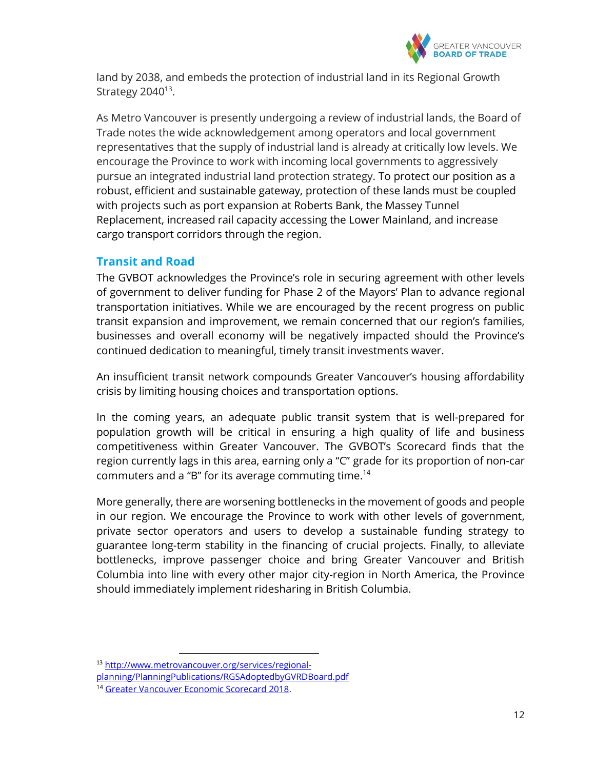

land by 2038, and embeds the protection of industrial land in its Regional Growth Strategy  $2040^{13}$ .

As Metro Vancouver is presently undergoing a review of industrial lands, the Board of Trade notes the wide acknowledgement among operators and local government representatives that the supply of industrial land is already at critically low levels. We encourage the Province to work with incoming local governments to aggressively pursue an integrated industrial land protection strategy. To protect our position as a robust, efficient and sustainable gateway, protection of these lands must be coupled with projects such as port expansion at Roberts Bank, the Massey Tunnel Replacement, increased rail capacity accessing the Lower Mainland, and increase cargo transport corridors through the region.

### **Transit and Road**

The GVBOT acknowledges the Province's role in securing agreement with other levels of government to deliver funding for Phase 2 of the Mayors' Plan to advance regional transportation initiatives. While we are encouraged by the recent progress on public transit expansion and improvement, we remain concerned that our region's families, businesses and overall economy will be negatively impacted should the Province's continued dedication to meaningful, timely transit investments waver.

An insufficient transit network compounds Greater Vancouver's housing affordability crisis by limiting housing choices and transportation options.

In the coming years, an adequate public transit system that is well-prepared for population growth will be critical in ensuring a high quality of life and business competitiveness within Greater Vancouver. The GVBOT's Scorecard finds that the region currently lags in this area, earning only a "C" grade for its proportion of non-car commuters and a "B" for its average commuting time.<sup>14</sup>

More generally, there are worsening bottlenecks in the movement of goods and people in our region. We encourage the Province to work with other levels of government, private sector operators and users to develop a sustainable funding strategy to guarantee long-term stability in the financing of crucial projects. Finally, to alleviate bottlenecks, improve passenger choice and bring Greater Vancouver and British Columbia into line with every other major city-region in North America, the Province should immediately implement ridesharing in British Columbia.

<sup>13</sup> [http://www.metrovancouver.org/services/regional-](http://www.metrovancouver.org/services/regional-planning/PlanningPublications/RGSAdoptedbyGVRDBoard.pdf)

[planning/PlanningPublications/RGSAdoptedbyGVRDBoard.pdf](http://www.metrovancouver.org/services/regional-planning/PlanningPublications/RGSAdoptedbyGVRDBoard.pdf)

<sup>14</sup> [Greater Vancouver Economic Scorecard 2018.](https://www.boardoftrade.com/scorecard2018/assets/pdf/full-report.pdf)